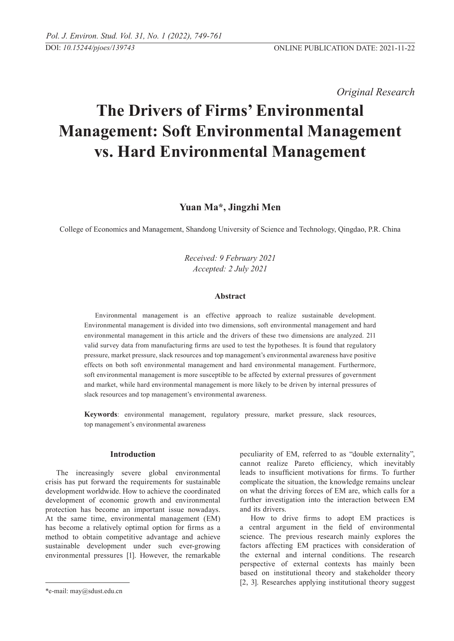*Original Research* 

# **The Drivers of Firms' Environmental Management: Soft Environmental Management vs. Hard Environmental Management**

# **Yuan Ma\*, Jingzhi Men**

College of Economics and Management, Shandong University of Science and Technology, Qingdao, P.R. China

*Received: 9 February 2021 Accepted: 2 July 2021*

# **Abstract**

Environmental management is an effective approach to realize sustainable development. Environmental management is divided into two dimensions, soft environmental management and hard environmental management in this article and the drivers of these two dimensions are analyzed. 211 valid survey data from manufacturing firms are used to test the hypotheses. It is found that regulatory pressure, market pressure, slack resources and top management's environmental awareness have positive effects on both soft environmental management and hard environmental management. Furthermore, soft environmental management is more susceptible to be affected by external pressures of government and market, while hard environmental management is more likely to be driven by internal pressures of slack resources and top management's environmental awareness.

**Keywords**: environmental management, regulatory pressure, market pressure, slack resources, top management's environmental awareness

## **Introduction**

The increasingly severe global environmental crisis has put forward the requirements for sustainable development worldwide. How to achieve the coordinated development of economic growth and environmental protection has become an important issue nowadays. At the same time, environmental management (EM) has become a relatively optimal option for firms as a method to obtain competitive advantage and achieve sustainable development under such ever-growing environmental pressures [1]. However, the remarkable peculiarity of EM, referred to as "double externality", cannot realize Pareto efficiency, which inevitably leads to insufficient motivations for firms. To further complicate the situation, the knowledge remains unclear on what the driving forces of EM are, which calls for a further investigation into the interaction between EM and its drivers.

How to drive firms to adopt EM practices is a central argument in the field of environmental science. The previous research mainly explores the factors affecting EM practices with consideration of the external and internal conditions. The research perspective of external contexts has mainly been based on institutional theory and stakeholder theory [2, 3]. Researches applying institutional theory suggest

<sup>\*</sup>e-mail: may@sdust.edu.cn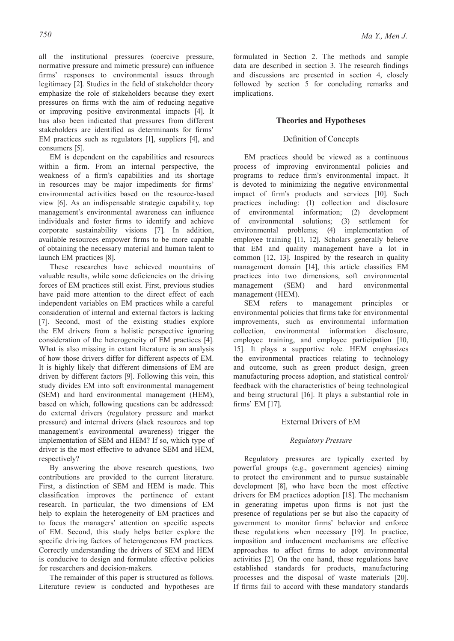all the institutional pressures (coercive pressure, normative pressure and mimetic pressure) can influence firms' responses to environmental issues through legitimacy [2]. Studies in the field of stakeholder theory emphasize the role of stakeholders because they exert pressures on firms with the aim of reducing negative or improving positive environmental impacts [4]. It has also been indicated that pressures from different stakeholders are identified as determinants for firms' EM practices such as regulators [1], suppliers [4], and consumers [5].

EM is dependent on the capabilities and resources within a firm. From an internal perspective, the weakness of a firm's capabilities and its shortage in resources may be major impediments for firms' environmental activities based on the resource-based view [6]. As an indispensable strategic capability, top management's environmental awareness can influence individuals and foster firms to identify and achieve corporate sustainability visions [7]. In addition, available resources empower firms to be more capable of obtaining the necessary material and human talent to launch EM practices [8].

These researches have achieved mountains of valuable results, while some deficiencies on the driving forces of EM practices still exist. First, previous studies have paid more attention to the direct effect of each independent variables on EM practices while a careful consideration of internal and external factors is lacking [7]. Second, most of the existing studies explore the EM drivers from a holistic perspective ignoring consideration of the heterogeneity of EM practices [4]. What is also missing in extant literature is an analysis of how those drivers differ for different aspects of EM. It is highly likely that different dimensions of EM are driven by different factors [9]. Following this vein, this study divides EM into soft environmental management (SEM) and hard environmental management (HEM), based on which, following questions can be addressed: do external drivers (regulatory pressure and market pressure) and internal drivers (slack resources and top management's environmental awareness) trigger the implementation of SEM and HEM? If so, which type of driver is the most effective to advance SEM and HEM, respectively?

By answering the above research questions, two contributions are provided to the current literature. First, a distinction of SEM and HEM is made. This classification improves the pertinence of extant research. In particular, the two dimensions of EM help to explain the heterogeneity of EM practices and to focus the managers' attention on specific aspects of EM. Second, this study helps better explore the specific driving factors of heterogeneous EM practices. Correctly understanding the drivers of SEM and HEM is conducive to design and formulate effective policies for researchers and decision-makers.

The remainder of this paper is structured as follows. Literature review is conducted and hypotheses are

formulated in Section 2. The methods and sample data are described in section 3. The research findings and discussions are presented in section 4, closely followed by section 5 for concluding remarks and implications.

### **Theories and Hypotheses**

## Definition of concepts

EM practices should be viewed as a continuous process of improving environmental policies and programs to reduce firm's environmental impact. It is devoted to minimizing the negative environmental impact of firm's products and services [10]. Such practices including: (1) collection and disclosure of environmental information; (2) development of environmental solutions; (3) settlement for environmental problems; (4) implementation of employee training [11, 12]. Scholars generally believe that EM and quality management have a lot in common [12, 13]. Inspired by the research in quality management domain [14], this article classifies EM practices into two dimensions, soft environmental management (SEM) and hard environmental management (HEM).

SEM refers to management principles or environmental policies that firms take for environmental improvements, such as environmental information collection, environmental information disclosure, employee training, and employee participation [10, 15]. It plays a supportive role. HEM emphasizes the environmental practices relating to technology and outcome, such as green product design, green manufacturing process adoption, and statistical control/ feedback with the characteristics of being technological and being structural [16]. It plays a substantial role in firms' EM [17].

## External Drivers of EM

#### *Regulatory Pressure*

Regulatory pressures are typically exerted by powerful groups (e.g., government agencies) aiming to protect the environment and to pursue sustainable development [8], who have been the most effective drivers for EM practices adoption [18]. The mechanism in generating impetus upon firms is not just the presence of regulations per se but also the capacity of government to monitor firms' behavior and enforce these regulations when necessary [19]. In practice, imposition and inducement mechanisms are effective approaches to affect firms to adopt environmental activities [2]. On the one hand, these regulations have established standards for products, manufacturing processes and the disposal of waste materials [20]. If firms fail to accord with these mandatory standards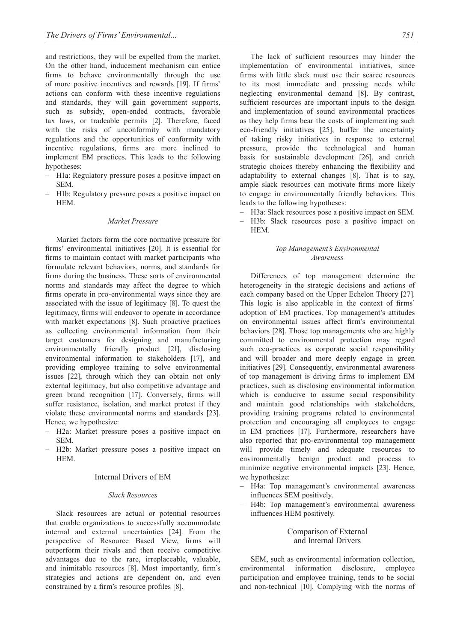and restrictions, they will be expelled from the market. On the other hand, inducement mechanism can entice firms to behave environmentally through the use of more positive incentives and rewards [19]. If firms' actions can conform with these incentive regulations and standards, they will gain government supports, such as subsidy, open-ended contracts, favorable tax laws, or tradeable permits [2]. Therefore, faced with the risks of unconformity with mandatory regulations and the opportunities of conformity with incentive regulations, firms are more inclined to implement EM practices. This leads to the following hypotheses:

- H1a: Regulatory pressure poses a positive impact on SEM.
- H1b: Regulatory pressure poses a positive impact on HEM.

## *Market pressure*

Market factors form the core normative pressure for firms' environmental initiatives [20]. It is essential for firms to maintain contact with market participants who formulate relevant behaviors, norms, and standards for firms during the business. These sorts of environmental norms and standards may affect the degree to which firms operate in pro-environmental ways since they are associated with the issue of legitimacy [8]. To quest the legitimacy, firms will endeavor to operate in accordance with market expectations [8]. Such proactive practices as collecting environmental information from their target customers for designing and manufacturing environmentally friendly product [21], disclosing environmental information to stakeholders [17], and providing employee training to solve environmental issues [22], through which they can obtain not only external legitimacy, but also competitive advantage and green brand recognition [17]. Conversely, firms will suffer resistance, isolation, and market protest if they violate these environmental norms and standards [23]. Hence, we hypothesize:

- H2a: Market pressure poses a positive impact on SEM.
- H2b: Market pressure poses a positive impact on HEM.

#### Internal Drivers of EM

#### *Slack resources*

Slack resources are actual or potential resources that enable organizations to successfully accommodate internal and external uncertainties [24]. From the perspective of Resource Based View, firms will outperform their rivals and then receive competitive advantages due to the rare, irreplaceable, valuable, and inimitable resources [8]. Most importantly, firm's strategies and actions are dependent on, and even constrained by a firm's resource profiles [8].

The lack of sufficient resources may hinder the implementation of environmental initiatives, since firms with little slack must use their scarce resources to its most immediate and pressing needs while neglecting environmental demand [8]. By contrast, sufficient resources are important inputs to the design and implementation of sound environmental practices as they help firms bear the costs of implementing such eco-friendly initiatives [25], buffer the uncertainty of taking risky initiatives in response to external pressure, provide the technological and human basis for sustainable development [26], and enrich strategic choices thereby enhancing the flexibility and adaptability to external changes [8]. That is to say,

- to engage in environmentally friendly behaviors. This leads to the following hypotheses:
- H3a: Slack resources pose a positive impact on SEM.

ample slack resources can motivate firms more likely

– H3b: Slack resources pose a positive impact on HEM.

## *Top Management's Environmental Awareness*

Differences of top management determine the heterogeneity in the strategic decisions and actions of each company based on the Upper Echelon Theory [27]. This logic is also applicable in the context of firms' adoption of EM practices. Top management's attitudes on environmental issues affect firm's environmental behaviors [28]. Those top managements who are highly committed to environmental protection may regard such eco-practices as corporate social responsibility and will broader and more deeply engage in green initiatives [29]. Consequently, environmental awareness of top management is driving firms to implement EM practices, such as disclosing environmental information which is conducive to assume social responsibility and maintain good relationships with stakeholders, providing training programs related to environmental protection and encouraging all employees to engage in EM practices [17]. Furthermore, researchers have also reported that pro-environmental top management will provide timely and adequate resources to environmentally benign product and process to minimize negative environmental impacts [23]. Hence, we hypothesize:

- H4a: Top management's environmental awareness influences SEM positively.
	- H4b: Top management's environmental awareness influences HEM positively.

### Comparison of External and Internal Drivers

SEM, such as environmental information collection, environmental information disclosure, employee participation and employee training, tends to be social and non-technical [10]. Complying with the norms of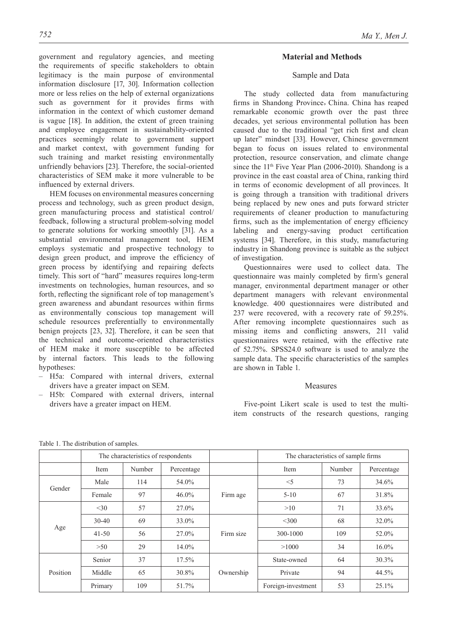government and regulatory agencies, and meeting the requirements of specific stakeholders to obtain legitimacy is the main purpose of environmental information disclosure [17, 30]. Information collection more or less relies on the help of external organizations such as government for it provides firms with information in the context of which customer demand is vague [18]. In addition, the extent of green training and employee engagement in sustainability-oriented practices seemingly relate to government support and market context, with government funding for such training and market resisting environmentally unfriendly behaviors [23]. Therefore, the social-oriented characteristics of SEM make it more vulnerable to be influenced by external drivers.

HEM focuses on environmental measures concerning process and technology, such as green product design, green manufacturing process and statistical control/ feedback, following a structural problem-solving model to generate solutions for working smoothly [31]. As a substantial environmental management tool, HEM employs systematic and prospective technology to design green product, and improve the efficiency of green process by identifying and repairing defects timely. This sort of "hard" measures requires long-term investments on technologies, human resources, and so forth, reflecting the significant role of top management's green awareness and abundant resources within firms as environmentally conscious top management will schedule resources preferentially to environmentally benign projects [23, 32]. Therefore, it can be seen that the technical and outcome-oriented characteristics of HEM make it more susceptible to be affected by internal factors. This leads to the following hypotheses:

- H5a: Compared with internal drivers, external drivers have a greater impact on SEM.
- H5b: Compared with external drivers, internal drivers have a greater impact on HEM.

## **Material and Methods**

## Sample and Data

The study collected data from manufacturing firms in Shandong Province,China. China has reaped remarkable economic growth over the past three decades, yet serious environmental pollution has been caused due to the traditional "get rich first and clean up later" mindset [33]. However, Chinese government began to focus on issues related to environmental protection, resource conservation, and climate change since the 11<sup>th</sup> Five Year Plan (2006-2010). Shandong is a province in the east coastal area of China, ranking third in terms of economic development of all provinces. It is going through a transition with traditional drivers being replaced by new ones and puts forward stricter requirements of cleaner production to manufacturing firms, such as the implementation of energy efficiency labeling and energy-saving product certification systems [34]. Therefore, in this study, manufacturing industry in Shandong province is suitable as the subject of investigation.

Questionnaires were used to collect data. The questionnaire was mainly completed by firm's general manager, environmental department manager or other department managers with relevant environmental knowledge. 400 questionnaires were distributed and 237 were recovered, with a recovery rate of 59.25%. After removing incomplete questionnaires such as missing items and conflicting answers, 211 valid questionnaires were retained, with the effective rate of 52.75%. SPSS24.0 software is used to analyze the sample data. The specific characteristics of the samples are shown in Table 1.

#### Measures

Five-point Likert scale is used to test the multiitem constructs of the research questions, ranging

|          | The characteristics of respondents |        |            |           | The characteristics of sample firms |        |            |
|----------|------------------------------------|--------|------------|-----------|-------------------------------------|--------|------------|
|          | Item                               | Number | Percentage |           | Item                                | Number | Percentage |
| Gender   | Male                               | 114    | 54.0%      | Firm age  | $<$ 5                               | 73     | 34.6%      |
|          | Female                             | 97     | $46.0\%$   |           | $5-10$                              | 67     | 31.8%      |
| Age      | $<$ 30                             | 57     | 27.0%      |           | >10                                 | 71     | 33.6%      |
|          | $30 - 40$                          | 69     | 33.0%      | Firm size | $<$ 300                             | 68     | 32.0%      |
|          | $41 - 50$                          | 56     | $27.0\%$   |           | 300-1000                            | 109    | 52.0%      |
|          | >50                                | 29     | $14.0\%$   |           | >1000                               | 34     | $16.0\%$   |
| Position | Senior                             | 37     | $17.5\%$   | Ownership | State-owned                         | 64     | 30.3%      |
|          | Middle                             | 65     | 30.8%      |           | Private                             | 94     | 44.5%      |
|          | Primary                            | 109    | 51.7%      |           | Foreign-investment                  | 53     | 25.1%      |

Table 1. The distribution of samples.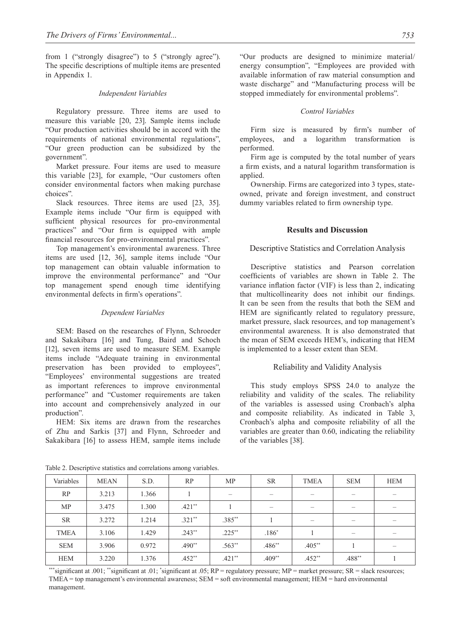from 1 ("strongly disagree") to 5 ("strongly agree"). The specific descriptions of multiple items are presented in Appendix 1.

#### *Independent Variables*

Regulatory pressure. Three items are used to measure this variable [20, 23]. Sample items include "Our production activities should be in accord with the requirements of national environmental regulations", "Our green production can be subsidized by the government".

Market pressure. Four items are used to measure this variable [23], for example, "Our customers often consider environmental factors when making purchase choices".

Slack resources. Three items are used [23, 35]. Example items include "Our firm is equipped with sufficient physical resources for pro-environmental practices" and "Our firm is equipped with ample financial resources for pro-environmental practices".

Top management's environmental awareness. Three items are used [12, 36], sample items include "Our top management can obtain valuable information to improve the environmental performance" and "Our top management spend enough time identifying environmental defects in firm's operations".

#### *Dependent variables*

SEM: Based on the researches of Flynn, Schroeder and Sakakibara [16] and Tung, Baird and Schoch [12], seven items are used to measure SEM. Example items include "Adequate training in environmental preservation has been provided to employees", "Employees' environmental suggestions are treated as important references to improve environmental performance" and "Customer requirements are taken into account and comprehensively analyzed in our production".

HEM: Six items are drawn from the researches of Zhu and Sarkis [37] and Flynn, Schroeder and Sakakibara [16] to assess HEM, sample items include "Our products are designed to minimize material/ energy consumption", "Employees are provided with available information of raw material consumption and waste discharge" and "Manufacturing process will be stopped immediately for environmental problems".

## *Control Variables*

Firm size is measured by firm's number of employees, and a logarithm transformation is performed.

Firm age is computed by the total number of years a firm exists, and a natural logarithm transformation is applied.

Ownership. Firms are categorized into 3 types, stateowned, private and foreign investment, and construct dummy variables related to firm ownership type.

## **Results and Discussion**

## Descriptive Statistics and Correlation Analysis

Descriptive statistics and Pearson correlation coefficients of variables are shown in Table 2. The variance inflation factor (VIF) is less than 2, indicating that multicollinearity does not inhibit our findings. It can be seen from the results that both the SEM and HEM are significantly related to regulatory pressure, market pressure, slack resources, and top management's environmental awareness. It is also demonstrated that the mean of SEM exceeds HEM's, indicating that HEM is implemented to a lesser extent than SEM.

### Reliability and Validity Analysis

This study employs SPSS 24.0 to analyze the reliability and validity of the scales. The reliability of the variables is assessed using Cronbach's alpha and composite reliability. As indicated in Table 3, Cronbach's alpha and composite reliability of all the variables are greater than 0.60, indicating the reliability of the variables [38].

| Variables   | <b>MEAN</b> | S.D.  | RP       | <b>MP</b> | <b>SR</b> | <b>TMEA</b> | <b>SEM</b>      | <b>HEM</b> |
|-------------|-------------|-------|----------|-----------|-----------|-------------|-----------------|------------|
| RP          | 3.213       | 1.366 |          |           |           |             | —               |            |
| <b>MP</b>   | 3.475       | 1.300 | $.421**$ |           |           |             | $\qquad \qquad$ |            |
| <b>SR</b>   | 3.272       | 1.214 | $.321**$ | $.385**$  |           |             | $\qquad \qquad$ |            |
| <b>TMEA</b> | 3.106       | 1.429 | $.243**$ | $.225***$ | $.186*$   |             |                 |            |
| <b>SEM</b>  | 3.906       | 0.972 | $.490**$ | $.563**$  | $.486**$  | $.405***$   |                 |            |
| <b>HEM</b>  | 3.220       | 1.376 | $.452**$ | $.421**$  | $.409**$  | $.452**$    | $.488**$        |            |

Table 2. Descriptive statistics and correlations among variables.

\*\*\*significant at .001; \*\*significant at .01; \*significant at .05;  $RP =$  regulatory pressure;  $MP =$  market pressure;  $SR =$  slack resources; TMEA = top management's environmental awareness; SEM = soft environmental management; HEM = hard environmental management.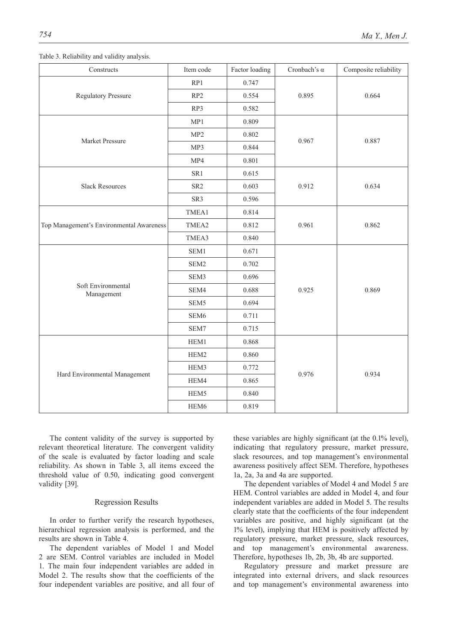| Constructs                               | Item code        | Factor loading | Cronbach's $\alpha$ | Composite reliability |  |
|------------------------------------------|------------------|----------------|---------------------|-----------------------|--|
|                                          | RP1              | 0.747          |                     |                       |  |
| <b>Regulatory Pressure</b>               | RP <sub>2</sub>  | 0.554          | 0.895               | 0.664                 |  |
|                                          | RP3              | 0.582          |                     |                       |  |
|                                          | MP1              | 0.809          |                     |                       |  |
|                                          | MP2              | 0.802          | 0.967               | 0.887                 |  |
| Market Pressure                          | MP3              | 0.844          |                     |                       |  |
|                                          | MP4              | 0.801          |                     |                       |  |
|                                          | SR1              | 0.615          |                     |                       |  |
| <b>Slack Resources</b>                   | SR <sub>2</sub>  | 0.603          | 0.912               | 0.634                 |  |
|                                          | SR3              | 0.596          |                     |                       |  |
|                                          | TMEA1            | 0.814          |                     |                       |  |
| Top Management's Environmental Awareness | TMEA2            | 0.812          | 0.961               | 0.862                 |  |
|                                          | TMEA3            | 0.840          |                     |                       |  |
|                                          | SEM1             | 0.671          |                     |                       |  |
|                                          | SEM2             | 0.702          |                     | 0.869                 |  |
|                                          | SEM3             | 0.696          |                     |                       |  |
| Soft Environmental<br>Management         | SEM4             | 0.688          | 0.925               |                       |  |
|                                          | SEM <sub>5</sub> | 0.694          |                     |                       |  |
|                                          | SEM <sub>6</sub> | 0.711          |                     |                       |  |
|                                          | SEM7             | 0.715          |                     |                       |  |
|                                          | HEM1             | 0.868          |                     |                       |  |
|                                          | HEM2             | 0.860          |                     |                       |  |
|                                          | HEM3             | 0.772          | 0.976               |                       |  |
| Hard Environmental Management            | HEM4             | 0.865          |                     | 0.934                 |  |
|                                          | HEM5             | 0.840          |                     |                       |  |
|                                          | HEM6             | 0.819          |                     |                       |  |

Table 3. Reliability and validity analysis.

The content validity of the survey is supported by relevant theoretical literature. The convergent validity of the scale is evaluated by factor loading and scale reliability. As shown in Table 3, all items exceed the threshold value of 0.50, indicating good convergent validity [39].

#### Regression Results

In order to further verify the research hypotheses, hierarchical regression analysis is performed, and the results are shown in Table 4.

The dependent variables of Model 1 and Model 2 are SEM. Control variables are included in Model 1. The main four independent variables are added in Model 2. The results show that the coefficients of the four independent variables are positive, and all four of these variables are highly significant (at the 0.1% level), indicating that regulatory pressure, market pressure, slack resources, and top management's environmental awareness positively affect SEM. Therefore, hypotheses 1a, 2a, 3a and 4a are supported.

The dependent variables of Model 4 and Model 5 are HEM. Control variables are added in Model 4, and four independent variables are added in Model 5. The results clearly state that the coefficients of the four independent variables are positive, and highly significant (at the 1% level), implying that HEM is positively affected by regulatory pressure, market pressure, slack resources, and top management's environmental awareness. Therefore, hypotheses 1b, 2b, 3b, 4b are supported.

Regulatory pressure and market pressure are integrated into external drivers, and slack resources and top management's environmental awareness into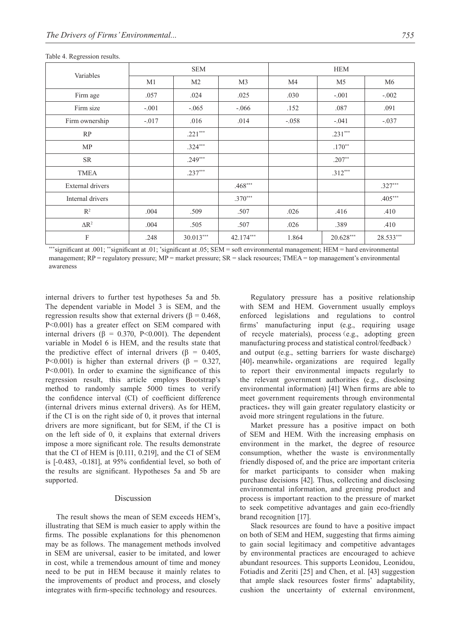|                           | <b>SEM</b> |                |                | <b>HEM</b>     |                |                |
|---------------------------|------------|----------------|----------------|----------------|----------------|----------------|
| Variables                 | M1         | M <sub>2</sub> | M <sub>3</sub> | M <sub>4</sub> | M <sub>5</sub> | M <sub>6</sub> |
| Firm age                  | .057       | .024           | .025           | .030           | $-.001$        | $-.002$        |
| Firm size                 | $-.001$    | $-.065$        | $-.066$        | .152           | .087           | .091           |
| Firm ownership            | $-.017$    | .016           | .014           | $-.058$        | $-.041$        | $-.037$        |
| RP                        |            | $.221***$      |                |                | $.231***$      |                |
| MP                        |            | $.324***$      |                |                | $.170**$       |                |
| <b>SR</b>                 |            | $.249***$      |                |                | $.207**$       |                |
| <b>TMEA</b>               |            | $.237***$      |                |                | $.312***$      |                |
| External drivers          |            |                | $.468***$      |                |                | $.327***$      |
| Internal drivers          |            |                | $.370***$      |                |                | $.405***$      |
| $\mathbb{R}^2$            | .004       | .509           | .507           | .026           | .416           | .410           |
| $\Delta R^2$              | .004       | .505           | .507           | .026           | .389           | .410           |
| $\boldsymbol{\mathrm{F}}$ | .248       | $30.013***$    | 42.174***      | 1.864          | $20.628***$    | 28.533***      |

Table 4. Regression results.

\*\*significant at .001; \*\*significant at .01; \*significant at .05; SEM = soft environmental management; HEM = hard environmental management;  $RP$  = regulatory pressure;  $MP$  = market pressure;  $SR$  = slack resources; TMEA = top management's environmental awareness

internal drivers to further test hypotheses 5a and 5b. The dependent variable in Model 3 is SEM, and the regression results show that external drivers ( $β = 0.468$ , P<0.001) has a greater effect on SEM compared with internal drivers ( $\beta = 0.370$ , P<0.001). The dependent variable in Model 6 is HEM, and the results state that the predictive effect of internal drivers ( $\beta$  = 0.405, P<0.001) is higher than external drivers (β = 0.327, P<0.001). In order to examine the significance of this regression result, this article employs Bootstrap's method to randomly sample 5000 times to verify the confidence interval (CI) of coefficient difference (internal drivers minus external drivers). As for HEM, if the CI is on the right side of 0, it proves that internal drivers are more significant, but for SEM, if the CI is on the left side of 0, it explains that external drivers impose a more significant role. The results demonstrate that the CI of HEM is [0.111, 0.219], and the CI of SEM is [-0.483, -0.181], at 95% confidential level, so both of the results are significant. Hypotheses 5a and 5b are supported.

## Discussion

The result shows the mean of SEM exceeds HEM's, illustrating that SEM is much easier to apply within the firms. The possible explanations for this phenomenon may be as follows. The management methods involved in SEM are universal, easier to be imitated, and lower in cost, while a tremendous amount of time and money need to be put in HEM because it mainly relates to the improvements of product and process, and closely integrates with firm-specific technology and resources.

Regulatory pressure has a positive relationship with SEM and HEM. Government usually employs enforced legislations and regulations to control firms' manufacturing input (e.g., requiring usage of recycle materials), process(e.g., adopting green manufacturing process and statistical control/feedback) and output (e.g., setting barriers for waste discharge) [40], meanwhile, organizations are required legally to report their environmental impacts regularly to the relevant government authorities (e.g., disclosing environmental information) [41] When firms are able to meet government requirements through environmental practices, they will gain greater regulatory elasticity or avoid more stringent regulations in the future.

Market pressure has a positive impact on both of SEM and HEM. With the increasing emphasis on environment in the market, the degree of resource consumption, whether the waste is environmentally friendly disposed of, and the price are important criteria for market participants to consider when making purchase decisions [42]. Thus, collecting and disclosing environmental information, and greening product and process is important reaction to the pressure of market to seek competitive advantages and gain eco-friendly brand recognition [17].

Slack resources are found to have a positive impact on both of SEM and HEM, suggesting that firms aiming to gain social legitimacy and competitive advantages by environmental practices are encouraged to achieve abundant resources. This supports Leonidou, Leonidou, Fotiadis and Zeriti [25] and Chen, et al. [43] suggestion that ample slack resources foster firms' adaptability, cushion the uncertainty of external environment,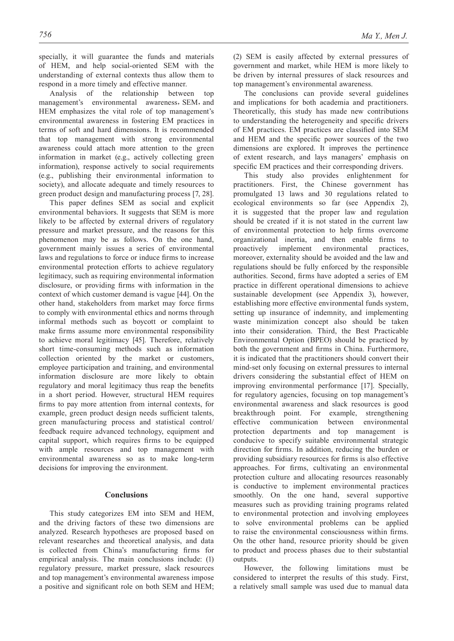specially, it will guarantee the funds and materials of HEM, and help social-oriented SEM with the understanding of external contexts thus allow them to respond in a more timely and effective manner.

Analysis of the relationship between top management's environmental awareness, SEM, and HEM emphasizes the vital role of top management's environmental awareness in fostering EM practices in terms of soft and hard dimensions. It is recommended that top management with strong environmental awareness could attach more attention to the green information in market (e.g., actively collecting green information), response actively to social requirements (e.g., publishing their environmental information to society), and allocate adequate and timely resources to green product design and manufacturing process [7, 28].

This paper defines SEM as social and explicit environmental behaviors. It suggests that SEM is more likely to be affected by external drivers of regulatory pressure and market pressure, and the reasons for this phenomenon may be as follows. On the one hand, government mainly issues a series of environmental laws and regulations to force or induce firms to increase environmental protection efforts to achieve regulatory legitimacy, such as requiring environmental information disclosure, or providing firms with information in the context of which customer demand is vague [44]. On the other hand, stakeholders from market may force firms to comply with environmental ethics and norms through informal methods such as boycott or complaint to make firms assume more environmental responsibility to achieve moral legitimacy [45]. Therefore, relatively short time-consuming methods such as information collection oriented by the market or customers, employee participation and training, and environmental information disclosure are more likely to obtain regulatory and moral legitimacy thus reap the benefits in a short period. However, structural HEM requires firms to pay more attention from internal contexts, for example, green product design needs sufficient talents, green manufacturing process and statistical control/ feedback require advanced technology, equipment and capital support, which requires firms to be equipped with ample resources and top management with environmental awareness so as to make long-term decisions for improving the environment.

### **Conclusions**

This study categorizes EM into SEM and HEM, and the driving factors of these two dimensions are analyzed. Research hypotheses are proposed based on relevant researches and theoretical analysis, and data is collected from China's manufacturing firms for empirical analysis. The main conclusions include: (1) regulatory pressure, market pressure, slack resources and top management's environmental awareness impose a positive and significant role on both SEM and HEM;

(2) SEM is easily affected by external pressures of government and market, while HEM is more likely to be driven by internal pressures of slack resources and top management's environmental awareness.

The conclusions can provide several guidelines and implications for both academia and practitioners. Theoretically, this study has made new contributions to understanding the heterogeneity and specific drivers of EM practices. EM practices are classified into SEM and HEM and the specific power sources of the two dimensions are explored. It improves the pertinence of extent research, and lays managers' emphasis on specific EM practices and their corresponding drivers.

This study also provides enlightenment for practitioners. First, the Chinese government has promulgated 13 laws and 30 regulations related to ecological environments so far (see Appendix 2), it is suggested that the proper law and regulation should be created if it is not stated in the current law of environmental protection to help firms overcome organizational inertia, and then enable firms to proactively implement environmental practices, moreover, externality should be avoided and the law and regulations should be fully enforced by the responsible authorities. Second, firms have adopted a series of EM practice in different operational dimensions to achieve sustainable development (see Appendix 3), however, establishing more effective environmental funds system, setting up insurance of indemnity, and implementing waste minimization concept also should be taken into their consideration. Third, the Best Practicable Environmental Option (BPEO) should be practiced by both the government and firms in China. Furthermore, it is indicated that the practitioners should convert their mind-set only focusing on external pressures to internal drivers considering the substantial effect of HEM on improving environmental performance [17]. Specially, for regulatory agencies, focusing on top management's environmental awareness and slack resources is good breakthrough point. For example, strengthening effective communication between environmental protection departments and top management is conducive to specify suitable environmental strategic direction for firms. In addition, reducing the burden or providing subsidiary resources for firms is also effective approaches. For firms, cultivating an environmental protection culture and allocating resources reasonably is conductive to implement environmental practices smoothly. On the one hand, several supportive measures such as providing training programs related to environmental protection and involving employees to solve environmental problems can be applied to raise the environmental consciousness within firms. On the other hand, resource priority should be given to product and process phases due to their substantial outputs.

However, the following limitations must be considered to interpret the results of this study. First, a relatively small sample was used due to manual data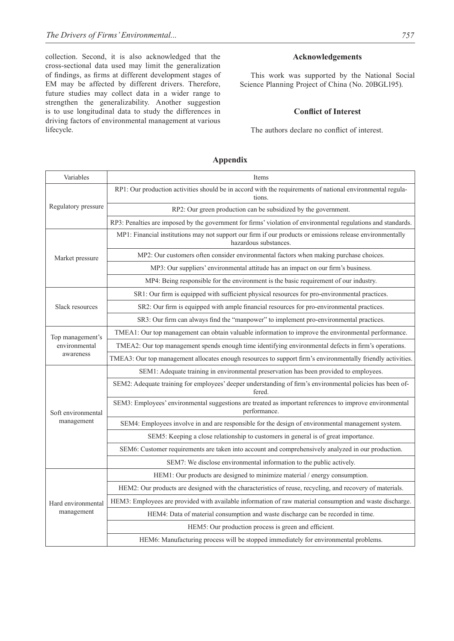collection. Second, it is also acknowledged that the cross-sectional data used may limit the generalization of findings, as firms at different development stages of EM may be affected by different drivers. Therefore, future studies may collect data in a wider range to strengthen the generalizability. Another suggestion is to use longitudinal data to study the differences in driving factors of environmental management at various lifecycle.

## **Acknowledgements**

This work was supported by the National Social Science Planning Project of China (No. 20BGL195).

# **Conflict of Interest**

The authors declare no conflict of interest.

## **Appendix**

| Variables                        | Items                                                                                                                              |
|----------------------------------|------------------------------------------------------------------------------------------------------------------------------------|
|                                  | RP1: Our production activities should be in accord with the requirements of national environmental regula-<br>tions.               |
| Regulatory pressure              | RP2: Our green production can be subsidized by the government.                                                                     |
|                                  | RP3: Penalties are imposed by the government for firms' violation of environmental regulations and standards.                      |
|                                  | MP1: Financial institutions may not support our firm if our products or emissions release environmentally<br>hazardous substances. |
| Market pressure                  | MP2: Our customers often consider environmental factors when making purchase choices.                                              |
|                                  | MP3: Our suppliers' environmental attitude has an impact on our firm's business.                                                   |
|                                  | MP4: Being responsible for the environment is the basic requirement of our industry.                                               |
|                                  | SR1: Our firm is equipped with sufficient physical resources for pro-environmental practices.                                      |
| Slack resources                  | SR2: Our firm is equipped with ample financial resources for pro-environmental practices.                                          |
|                                  | SR3: Our firm can always find the "manpower" to implement pro-environmental practices.                                             |
| Top management's                 | TMEA1: Our top management can obtain valuable information to improve the environmental performance.                                |
| environmental                    | TMEA2: Our top management spends enough time identifying environmental defects in firm's operations.                               |
| awareness                        | TMEA3: Our top management allocates enough resources to support firm's environmentally friendly activities.                        |
|                                  | SEM1: Adequate training in environmental preservation has been provided to employees.                                              |
|                                  | SEM2: Adequate training for employees' deeper understanding of firm's environmental policies has been of-<br>fered.                |
| Soft environmental               | SEM3: Employees' environmental suggestions are treated as important references to improve environmental<br>performance.            |
| management                       | SEM4: Employees involve in and are responsible for the design of environmental management system.                                  |
|                                  | SEM5: Keeping a close relationship to customers in general is of great importance.                                                 |
|                                  | SEM6: Customer requirements are taken into account and comprehensively analyzed in our production.                                 |
|                                  | SEM7: We disclose environmental information to the public actively.                                                                |
| Hard environmental<br>management | HEM1: Our products are designed to minimize material / energy consumption.                                                         |
|                                  | HEM2: Our products are designed with the characteristics of reuse, recycling, and recovery of materials.                           |
|                                  | HEM3: Employees are provided with available information of raw material consumption and waste discharge.                           |
|                                  | HEM4: Data of material consumption and waste discharge can be recorded in time.                                                    |
|                                  | HEM5: Our production process is green and efficient.                                                                               |
|                                  | HEM6: Manufacturing process will be stopped immediately for environmental problems.                                                |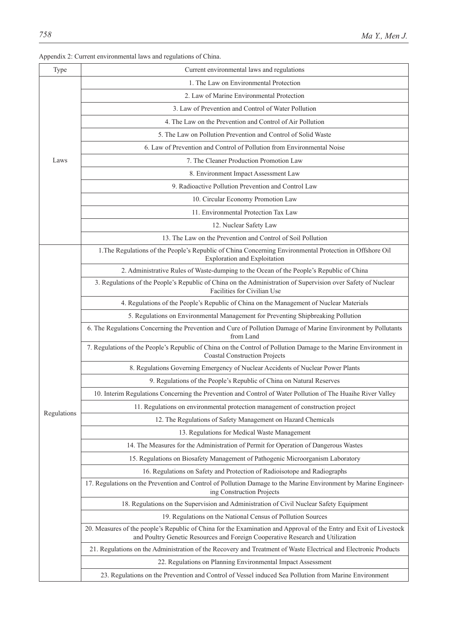|             | Appendix 2: Current environmental laws and regulations of China.                                                                                                                                     |
|-------------|------------------------------------------------------------------------------------------------------------------------------------------------------------------------------------------------------|
| Type        | Current environmental laws and regulations                                                                                                                                                           |
|             | 1. The Law on Environmental Protection                                                                                                                                                               |
|             | 2. Law of Marine Environmental Protection                                                                                                                                                            |
|             | 3. Law of Prevention and Control of Water Pollution                                                                                                                                                  |
|             | 4. The Law on the Prevention and Control of Air Pollution                                                                                                                                            |
|             | 5. The Law on Pollution Prevention and Control of Solid Waste                                                                                                                                        |
|             | 6. Law of Prevention and Control of Pollution from Environmental Noise                                                                                                                               |
| Laws        | 7. The Cleaner Production Promotion Law                                                                                                                                                              |
|             | 8. Environment Impact Assessment Law                                                                                                                                                                 |
|             | 9. Radioactive Pollution Prevention and Control Law                                                                                                                                                  |
|             | 10. Circular Economy Promotion Law                                                                                                                                                                   |
|             | 11. Environmental Protection Tax Law                                                                                                                                                                 |
|             | 12. Nuclear Safety Law                                                                                                                                                                               |
|             | 13. The Law on the Prevention and Control of Soil Pollution                                                                                                                                          |
|             | 1. The Regulations of the People's Republic of China Concerning Environmental Protection in Offshore Oil<br><b>Exploration and Exploitation</b>                                                      |
|             | 2. Administrative Rules of Waste-dumping to the Ocean of the People's Republic of China                                                                                                              |
|             | 3. Regulations of the People's Republic of China on the Administration of Supervision over Safety of Nuclear<br>Facilities for Civilian Use                                                          |
|             | 4. Regulations of the People's Republic of China on the Management of Nuclear Materials                                                                                                              |
|             | 5. Regulations on Environmental Management for Preventing Shipbreaking Pollution                                                                                                                     |
|             | 6. The Regulations Concerning the Prevention and Cure of Pollution Damage of Marine Environment by Pollutants<br>from Land                                                                           |
|             | 7. Regulations of the People's Republic of China on the Control of Pollution Damage to the Marine Environment in<br><b>Coastal Construction Projects</b>                                             |
|             | 8. Regulations Governing Emergency of Nuclear Accidents of Nuclear Power Plants                                                                                                                      |
|             | 9. Regulations of the People's Republic of China on Natural Reserves                                                                                                                                 |
|             | 10. Interim Regulations Concerning the Prevention and Control of Water Pollution of The Huaihe River Valley                                                                                          |
|             | 11. Regulations on environmental protection management of construction project                                                                                                                       |
| Regulations | 12. The Regulations of Safety Management on Hazard Chemicals                                                                                                                                         |
|             | 13. Regulations for Medical Waste Management                                                                                                                                                         |
|             | 14. The Measures for the Administration of Permit for Operation of Dangerous Wastes                                                                                                                  |
|             | 15. Regulations on Biosafety Management of Pathogenic Microorganism Laboratory                                                                                                                       |
|             | 16. Regulations on Safety and Protection of Radioisotope and Radiographs                                                                                                                             |
|             | 17. Regulations on the Prevention and Control of Pollution Damage to the Marine Environment by Marine Engineer-<br>ing Construction Projects                                                         |
|             | 18. Regulations on the Supervision and Administration of Civil Nuclear Safety Equipment                                                                                                              |
|             | 19. Regulations on the National Census of Pollution Sources                                                                                                                                          |
|             | 20. Measures of the people's Republic of China for the Examination and Approval of the Entry and Exit of Livestock<br>and Poultry Genetic Resources and Foreign Cooperative Research and Utilization |
|             | 21. Regulations on the Administration of the Recovery and Treatment of Waste Electrical and Electronic Products                                                                                      |
|             | 22. Regulations on Planning Environmental Impact Assessment                                                                                                                                          |
|             | 23. Regulations on the Prevention and Control of Vessel induced Sea Pollution from Marine Environment                                                                                                |

Appendix 2: Current environmental laws and regulations of China.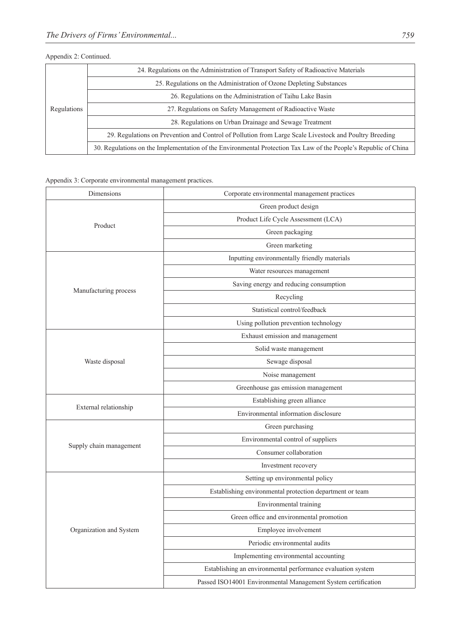# Appendix 2: Continued.

|             | 24. Regulations on the Administration of Transport Safety of Radioactive Materials                              |  |
|-------------|-----------------------------------------------------------------------------------------------------------------|--|
| Regulations | 25. Regulations on the Administration of Ozone Depleting Substances                                             |  |
|             | 26. Regulations on the Administration of Taihu Lake Basin                                                       |  |
|             | 27. Regulations on Safety Management of Radioactive Waste                                                       |  |
|             | 28. Regulations on Urban Drainage and Sewage Treatment                                                          |  |
|             | 29. Regulations on Prevention and Control of Pollution from Large Scale Livestock and Poultry Breeding          |  |
|             | 30. Regulations on the Implementation of the Environmental Protection Tax Law of the People's Republic of China |  |

Appendix 3: Corporate environmental management practices.

| Dimensions              | Corporate environmental management practices                  |  |  |  |  |
|-------------------------|---------------------------------------------------------------|--|--|--|--|
|                         | Green product design                                          |  |  |  |  |
| Product                 | Product Life Cycle Assessment (LCA)                           |  |  |  |  |
|                         | Green packaging                                               |  |  |  |  |
|                         | Green marketing                                               |  |  |  |  |
|                         | Inputting environmentally friendly materials                  |  |  |  |  |
|                         | Water resources management                                    |  |  |  |  |
|                         | Saving energy and reducing consumption                        |  |  |  |  |
| Manufacturing process   | Recycling                                                     |  |  |  |  |
|                         | Statistical control/feedback                                  |  |  |  |  |
|                         | Using pollution prevention technology                         |  |  |  |  |
|                         | Exhaust emission and management                               |  |  |  |  |
|                         | Solid waste management                                        |  |  |  |  |
| Waste disposal          | Sewage disposal                                               |  |  |  |  |
|                         | Noise management                                              |  |  |  |  |
|                         | Greenhouse gas emission management                            |  |  |  |  |
| External relationship   | Establishing green alliance                                   |  |  |  |  |
|                         | Environmental information disclosure                          |  |  |  |  |
|                         | Green purchasing                                              |  |  |  |  |
|                         | Environmental control of suppliers                            |  |  |  |  |
| Supply chain management | Consumer collaboration                                        |  |  |  |  |
|                         | Investment recovery                                           |  |  |  |  |
|                         | Setting up environmental policy                               |  |  |  |  |
|                         | Establishing environmental protection department or team      |  |  |  |  |
|                         | Environmental training                                        |  |  |  |  |
|                         | Green office and environmental promotion                      |  |  |  |  |
| Organization and System | Employee involvement                                          |  |  |  |  |
|                         | Periodic environmental audits                                 |  |  |  |  |
|                         | Implementing environmental accounting                         |  |  |  |  |
|                         | Establishing an environmental performance evaluation system   |  |  |  |  |
|                         | Passed ISO14001 Environmental Management System certification |  |  |  |  |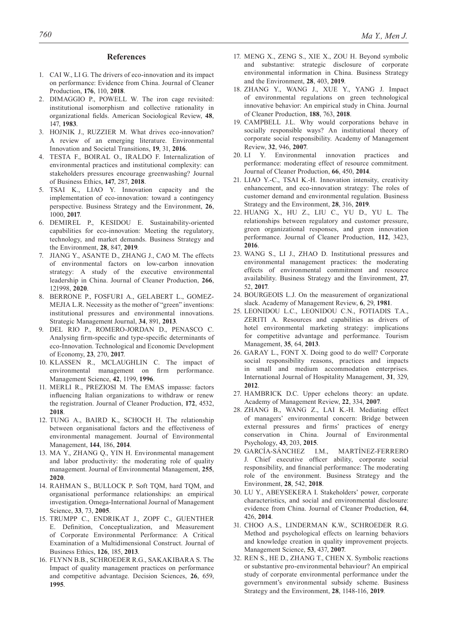#### **References**

- 1. CAI W., LI G. The drivers of eco-innovation and its impact on performance: Evidence from China. Journal of Cleaner Production, **176**, 110, **2018**.
- 2. DIMAGGIO P., POWELL W. The iron cage revisited: institutional isomorphism and collective rationality in organizational fields. American Sociological Review, **48**, 147, **1983**.
- 3. HOJNIK J., RUZZIER M. What drives eco-innovation? A review of an emerging literature. Environmental Innovation and Societal Transitions, **19**, 31, **2016**.
- 4. TESTA F., BOIRAL O., IRALDO F. Internalization of environmental practices and institutional complexity: can stakeholders pressures encourage greenwashing? Journal of Business Ethics, **147**, 287, **2018**.
- 5. TSAI K., LIAO Y. Innovation capacity and the implementation of eco-innovation: toward a contingency perspective. Business Strategy and the Environment, **26**, 1000, **2017**.
- 6. DEMIREL P., KESIDOU E. Sustainability-oriented capabilities for eco-innovation: Meeting the regulatory, technology, and market demands. Business Strategy and the Environment, **28**, 847, **2019**.
- 7. JIANG Y., ASANTE D., ZHANG J., CAO M. The effects of environmental factors on low-carbon innovation strategy: A study of the executive environmental leadership in China. Journal of Cleaner Production, **266**, 121998, **2020**.
- 8. BERRONE P., FOSFURI A., GELABERT L., GOMEZ-MEJIA L.R. Necessity as the mother of "green" inventions: institutional pressures and environmental innovations. Strategic Management Journal, **34**, 891, **2013**.
- 9. DEL RIO P., ROMERO-JORDAN D., PENASCO C. Analysing firm-specific and type-specific determinants of eco-Innovation. Technological and Economic Development of Economy, **23**, 270, **2017**.
- 10. KLASSEN R., MCLAUGHLIN C. The impact of environmental management on firm performance. Management Science, **42**, 1199, **1996**.
- 11. MERLI R., PREZIOSI M. The EMAS impasse: factors influencing Italian organizations to withdraw or renew the registration. Journal of Cleaner Production, **172**, 4532, **2018**.
- 12. TUNG A., BAIRD K., SCHOCH H. The relationship between organisational factors and the effectiveness of environmental management. Journal of Environmental Management, **144**, 186, **2014**.
- 13. MA Y., ZHANG Q., YIN H. Environmental management and labor productivity: the moderating role of quality management. Journal of Environmental Management, **255**, **2020**.
- 14. RAHMAN S., BULLOCK P. Soft TQM, hard TQM, and organisational performance relationships: an empirical investigation. Omega-International Journal of Management Science, **33**, 73, **2005**.
- 15. TRUMPP C., ENDRIKAT J., ZOPF C., GUENTHER E. Definition, Conceptualization, and Measurement of Corporate Environmental Performance: A Critical Examination of a Multidimensional Construct. Journal of Business Ethics, **126**, 185, **2013**.
- 16. FLYNN B.B., SCHROEDER R.G., SAKAKIBARA S. The Impact of quality management practices on performance and competitive advantage. Decision Sciences, **26**, 659, **1995**.
- 17. MENG X., ZENG S., XIE X., ZOU H. Beyond symbolic and substantive: strategic disclosure of corporate environmental information in China. Business Strategy and the Environment, **28**, 403, **2019**.
- 18. ZHANG Y., WANG J., XUE Y., YANG J. Impact of environmental regulations on green technological innovative behavior: An empirical study in China. Journal of Cleaner Production, **188**, 763, **2018**.
- 19. CAMPBELL J.L. Why would corporations behave in socially responsible ways? An institutional theory of corporate social responsibility. Academy of Management Review, **32**, 946, **2007**.
- 20. LI Y. Environmental innovation practices and performance: moderating effect of resource commitment. Journal of Cleaner Production, **66**, 450, **2014**.
- 21. LIAO Y.-C., TSAI K.-H. Innovation intensity, creativity enhancement, and eco-innovation strategy: The roles of customer demand and environmental regulation. Business Strategy and the Environment, **28**, 316, **2019**.
- 22. HUANG X., HU Z., LIU C., YU D., YU L. The relationships between regulatory and customer pressure, green organizational responses, and green innovation performance. Journal of Cleaner Production, **112**, 3423, **2016**.
- 23. WANG S., LI J., ZHAO D. Institutional pressures and environmental management practices: the moderating effects of environmental commitment and resource availability. Business Strategy and the Environment, **27**, 52, **2017**.
- 24. BOURGEOIS L.J. On the measurement of organizational slack. Academy of Management Review, **6**, 29, **1981**.
- 25. LEONIDOU L.C., LEONIDOU C.N., FOTIADIS T.A., ZERITI A. Resources and capabilities as drivers of hotel environmental marketing strategy: implications for competitive advantage and performance. Tourism Management, **35**, 64, **2013**.
- 26. GARAY L., FONT X. Doing good to do well? Corporate social responsibility reasons, practices and impacts in small and medium accommodation enterprises. International Journal of Hospitality Management, **31**, 329, **2012**.
- 27. HAMBRICK D.C. Upper echelons theory: an update. Academy of Management Review, **22**, 334, **2007**.
- 28. ZHANG B., WANG Z., LAI K.-H. Mediating effect of managers' environmental concern: Bridge between external pressures and firms' practices of energy conservation in China. Journal of Environmental Psychology, **43**, 203, **2015**.
- 29. GARCíA-SáNCHEZ I.M., MARTíNEZ-FERRERO J. Chief executive officer ability, corporate social responsibility, and financial performance: The moderating role of the environment. Business Strategy and the Environment, **28**, 542, **2018**.
- 30. LU Y., ABEYSEKERA I. Stakeholders' power, corporate characteristics, and social and environmental disclosure: evidence from China. Journal of Cleaner Production, **64**, 426, **2014**.
- 31. CHOO A.S., LINDERMAN K.W., SCHROEDER R.G. Method and psychological effects on learning behaviors and knowledge creation in quality improvement projects. Management Science, **53**, 437, **2007**.
- 32. REN S., HE D., ZHANG T., CHEN X. Symbolic reactions or substantive pro-environmental behaviour? An empirical study of corporate environmental performance under the government's environmental subsidy scheme. Business Strategy and the Environment, **28**, 1148-116, **2019**.